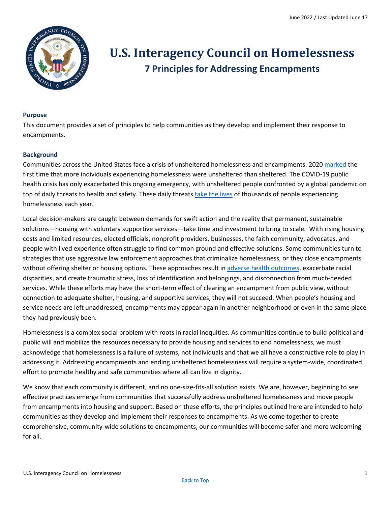

# <span id="page-0-0"></span>**U.S. Interagency Council on Homelessness 7 Principles for Addressing Encampments**

#### **Purpose**

This document provides a set of principles to help communities as they develop and implement their response to encampments.

## **Background**

Communities across the United States face a crisis of unsheltered homelessness and encampments. 2020 [marked](https://www.huduser.gov/portal/sites/default/files/pdf/2020-AHAR-Part-1.pdf) the first time that more individuals experiencing homelessness were unsheltered than sheltered. The COVID-19 public health crisis has only exacerbated this ongoing emergency, with unsheltered people confronted by a global pandemic on top of daily threats to health and safety. These daily threats [take the lives](https://nhchc.org/wp-content/uploads/2020/12/Homeless-Mortality-Toolkit-FULL-FINAL.pdf) of thousands of people experiencing homelessness each year.

Local decision-makers are caught between demands for swift action and the reality that permanent, sustainable solutions—housing with voluntary supportive services—take time and investment to bring to scale. With rising housing costs and limited resources, elected officials, nonprofit providers, businesses, the faith community, advocates, and people with lived experience often struggle to find common ground and effective solutions. Some communities turn to strategies that use aggressive law enforcement approaches that criminalize homelessness, or they close encampments without offering shelter or housing options. These approaches result in [adverse health outcomes,](https://link.springer.com/article/10.1007/s11606-022-07471-y) exacerbate racial disparities, and create traumatic stress, loss of identification and belongings, and disconnection from much-needed services. While these efforts may have the short-term effect of clearing an encampment from public view, without connection to adequate shelter, housing, and supportive services, they will not succeed. When people's housing and service needs are left unaddressed, encampments may appear again in another neighborhood or even in the same place they had previously been.

Homelessness is a complex social problem with roots in racial inequities. As communities continue to build political and public will and mobilize the resources necessary to provide housing and services to end homelessness, we must acknowledge that homelessness is a failure of systems, not individuals and that we all have a constructive role to play in addressing it. Addressing encampments and ending unsheltered homelessness will require a system-wide, coordinated effort to promote healthy and safe communities where all can live in dignity.

We know that each community is different, and no one-size-fits-all solution exists. We are, however, beginning to see effective practices emerge from communities that successfully address unsheltered homelessness and move people from encampments into housing and support. Based on these efforts, the principles outlined here are intended to help communities as they develop and implement their responses to encampments. As we come together to create comprehensive, community-wide solutions to encampments, our communities will become safer and more welcoming for all.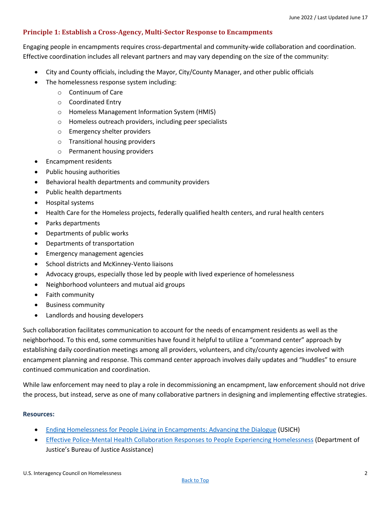# **Principle 1: Establish a Cross-Agency, Multi-Sector Response to Encampments**

Engaging people in encampments requires cross-departmental and community-wide collaboration and coordination. Effective coordination includes all relevant partners and may vary depending on the size of the community:

- City and County officials, including the Mayor, City/County Manager, and other public officials
- The homelessness response system including:
	- o Continuum of Care
	- o Coordinated Entry
	- o Homeless Management Information System (HMIS)
	- o Homeless outreach providers, including peer specialists
	- o Emergency shelter providers
	- o Transitional housing providers
	- o Permanent housing providers
- Encampment residents
- Public housing authorities
- Behavioral health departments and community providers
- Public health departments
- Hospital systems
- Health Care for the Homeless projects, federally qualified health centers, and rural health centers
- Parks departments
- Departments of public works
- Departments of transportation
- Emergency management agencies
- School districts and McKinney-Vento liaisons
- Advocacy groups, especially those led by people with lived experience of homelessness
- Neighborhood volunteers and mutual aid groups
- Faith community
- Business community
- Landlords and housing developers

Such collaboration facilitates communication to account for the needs of encampment residents as well as the neighborhood. To this end, some communities have found it helpful to utilize a "command center" approach by establishing daily coordination meetings among all providers, volunteers, and city/county agencies involved with encampment planning and response. This command center approach involves daily updates and "huddles" to ensure continued communication and coordination.

While law enforcement may need to play a role in decommissioning an encampment, law enforcement should not drive the process, but instead, serve as one of many collaborative partners in designing and implementing effective strategies.

## **Resources:**

- [Ending Homelessness for People Living in Encampments: Advancing the Dialogue](https://www.usich.gov/tools-for-action/ending-homelessness-for-people-in-encampments) (USICH)
- [Effective Police-Mental Health Collaboration Responses to People Experiencing H](https://bja.ojp.gov/homelessness-initiative-test)omelessness (Department of Justice's Bureau of Justice Assistance)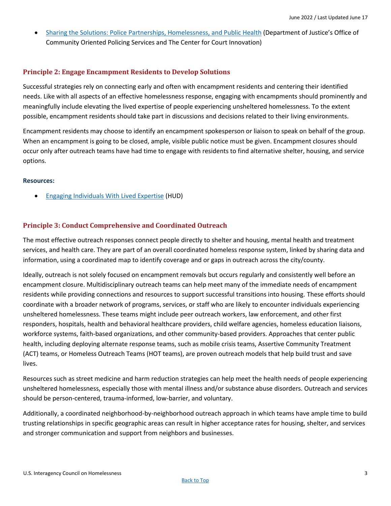• [Sharing the Solutions: Police Partnerships, Homelessness, and Public Health](https://cops.usdoj.gov/html/dispatch/12-2020/sharing_the_solutions.html) (Department of Justice's Office of Community Oriented Policing Services and The Center for Court Innovation)

## **Principle 2: Engage Encampment Residents to Develop Solutions**

Successful strategies rely on connecting early and often with encampment residents and centering their identified needs. Like with all aspects of an effective homelessness response, engaging with encampments should prominently and meaningfully include elevating the lived expertise of people experiencing unsheltered homelessness. To the extent possible, encampment residents should take part in discussions and decisions related to their living environments.

Encampment residents may choose to identify an encampment spokesperson or liaison to speak on behalf of the group. When an encampment is going to be closed, ample, visible public notice must be given. Encampment closures should occur only after outreach teams have had time to engage with residents to find alternative shelter, housing, and service options.

#### **Resources:**

• [Engaging Individuals With Lived Expertise](https://www.hudexchange.info/resource/6432/covid19-homeless-system-response-engaging-individuals-with-lived-expertise/) (HUD)

# **Principle 3: Conduct Comprehensive and Coordinated Outreach**

The most effective outreach responses connect people directly to shelter and housing, mental health and treatment services, and health care. They are part of an overall coordinated homeless response system, linked by sharing data and information, using a coordinated map to identify coverage and or gaps in outreach across the city/county.

Ideally, outreach is not solely focused on encampment removals but occurs regularly and consistently well before an encampment closure. Multidisciplinary outreach teams can help meet many of the immediate needs of encampment residents while providing connections and resources to support successful transitions into housing. These efforts should coordinate with a broader network of programs, services, or staff who are likely to encounter individuals experiencing unsheltered homelessness. These teams might include peer outreach workers, law enforcement, and other first responders, hospitals, health and behavioral healthcare providers, child welfare agencies, homeless education liaisons, workforce systems, faith-based organizations, and other community-based providers. Approaches that center public health, including deploying alternate response teams, such as mobile crisis teams, Assertive Community Treatment (ACT) teams, or Homeless Outreach Teams (HOT teams), are proven outreach models that help build trust and save lives.

Resources such as street medicine and harm reduction strategies can help meet the health needs of people experiencing unsheltered homelessness, especially those with mental illness and/or substance abuse disorders. Outreach and services should be person-centered, trauma-informed, low-barrier, and voluntary.

Additionally, a coordinated neighborhood-by-neighborhood outreach approach in which teams have ample time to build trusting relationships in specific geographic areas can result in higher acceptance rates for housing, shelter, and services and stronger communication and support from neighbors and businesses.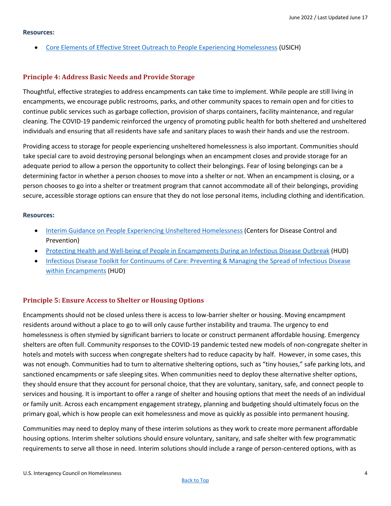#### **Resources:**

• [Core Elements of Effective Street Outreach to People Experiencing Homelessness](https://www.usich.gov/resources/uploads/asset_library/Core-Components-of-Outreach-2019.pdf) (USICH)

#### **Principle 4: Address Basic Needs and Provide Storage**

Thoughtful, effective strategies to address encampments can take time to implement. While people are still living in encampments, we encourage public restrooms, parks, and other community spaces to remain open and for cities to continue public services such as garbage collection, provision of sharps containers, facility maintenance, and regular cleaning. The COVID-19 pandemic reinforced the urgency of promoting public health for both sheltered and unsheltered individuals and ensuring that all residents have safe and sanitary places to wash their hands and use the restroom.

Providing access to storage for people experiencing unsheltered homelessness is also important. Communities should take special care to avoid destroying personal belongings when an encampment closes and provide storage for an adequate period to allow a person the opportunity to collect their belongings. Fear of losing belongings can be a determining factor in whether a person chooses to move into a shelter or not. When an encampment is closing, or a person chooses to go into a shelter or treatment program that cannot accommodate all of their belongings, providing secure, accessible storage options can ensure that they do not lose personal items, including clothing and identification.

#### **Resources:**

- [Interim Guidance on People Experiencing Unsheltered Homelessness](https://www.cdc.gov/coronavirus/2019-ncov/community/homeless-shelters/unsheltered-homelessness.html) (Centers for Disease Control and Prevention)
- [Protecting Health and Well-being of People in Encampments During an Infectious Disease Outbreak](https://files.hudexchange.info/resources/documents/COVID-19-Essential-Services-for-Encampments-During-an-Infectious-Disease-Outbreak.pdf) (HUD)
- [Infectious Disease Toolkit for Continuums of Care: Preventing & Managing the Spread of Infectious Disease](https://files.hudexchange.info/resources/documents/Infectious-Disease-Toolkit-for-CoCs-Preventing-and-Managing-the-Spread-of-Infectious-Disease-within-Encampments.pdf)  [within Encampments](https://files.hudexchange.info/resources/documents/Infectious-Disease-Toolkit-for-CoCs-Preventing-and-Managing-the-Spread-of-Infectious-Disease-within-Encampments.pdf) (HUD)

## **Principle 5: Ensure Access to Shelter or Housing Options**

Encampments should not be closed unless there is access to low-barrier shelter or housing. Moving encampment residents around without a place to go to will only cause further instability and trauma. The urgency to end homelessness is often stymied by significant barriers to locate or construct permanent affordable housing. Emergency shelters are often full. Community responses to the COVID-19 pandemic tested new models of non-congregate shelter in hotels and motels with success when congregate shelters had to reduce capacity by half. However, in some cases, this was not enough. Communities had to turn to alternative sheltering options, such as "tiny houses," safe parking lots, and sanctioned encampments or safe sleeping sites. When communities need to deploy these alternative shelter options, they should ensure that they account for personal choice, that they are voluntary, sanitary, safe, and connect people to services and housing. It is important to offer a range of shelter and housing options that meet the needs of an individual or family unit. Across each encampment engagement strategy, planning and budgeting should ultimately focus on the primary goal, which is how people can exit homelessness and move as quickly as possible into permanent housing.

Communities may need to deploy many of these interim solutions as they work to create more permanent affordable housing options. Interim shelter solutions should ensure voluntary, sanitary, and safe shelter with few programmatic requirements to serve all those in need. Interim solutions should include a range of person-centered options, with as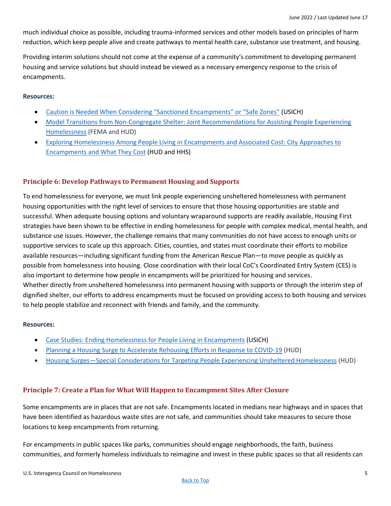much individual choice as possible, including trauma-informed services and other models based on principles of harm reduction, which keep people alive and create pathways to mental health care, substance use treatment, and housing.

Providing interim solutions should not come at the expense of a community's commitment to developing permanent housing and service solutions but should instead be viewed as a necessary emergency response to the crisis of encampments.

#### **Resources:**

- [Caution is Needed When Considering "Sanctioned Encampments" or "Safe Zones"](https://www.usich.gov/resources/uploads/asset_library/Caution_Sanctioned_Encampments_Safe_Zones_052318.pdf) (USICH)
- Model Transitions from Non-Congregate Shelter: Joint Recommendations for Assisting People Experiencing [Homelessness](https://www.hud.gov/sites/dfiles/CPD/documents/Model-Transitions-Document_FINAL.pdf) (FEMA and HUD)
- [Exploring Homelessness Among People Living in Encampments and Associated Cost: City Approaches to](https://www.huduser.gov/portal/encampments.html)  [Encampments and What They Cost](https://www.huduser.gov/portal/encampments.html) (HUD and HHS)

## **Principle 6: Develop Pathways to Permanent Housing and Supports**

To end homelessness for everyone, we must link people experiencing unsheltered homelessness with permanent housing opportunities with the right level of services to ensure that those housing opportunities are stable and successful. When adequate housing options and voluntary wraparound supports are readily available, Housing First strategies have been shown to be effective in ending homelessness for people with complex medical, mental health, and substance use issues. However, the challenge remains that many communities do not have access to enough units or supportive services to scale up this approach. Cities, counties, and states must coordinate their efforts to mobilize available resources—including significant funding from the American Rescue Plan—to move people as quickly as possible from homelessness into housing. Close coordination with their local CoC's Coordinated Entry System (CES) is also important to determine how people in encampments will be prioritized for housing and services. Whether directly from unsheltered homelessness into permanent housing with supports or through the interim step of dignified shelter, our efforts to address encampments must be focused on providing access to both housing and services to help people stabilize and reconnect with friends and family, and the community.

#### **Resources:**

- [Case Studies: Ending Homelessness for People Living in Encampments](https://www.usich.gov/tools-for-action/case-studies-ending-homelessness-for-people-living-in-encampments) (USICH)
- [Planning a Housing Surge to Accelerate Rehousing Efforts in Response to COVID-19](https://files.hudexchange.info/resources/documents/COVID-19-Homeless-System-Response-Planning-a-Housing-Surge-to-Accelerate-Rehousing-Efforts-in-Response-to-COVID-19.pdf) (HUD)
- Housing Surges—[Special Considerations for Targeting People Experiencing Unsheltered Homelessness](https://files.hudexchange.info/resources/documents/COVID-19-Homeless-System-Response-Housing-Surges-Special-Considerations-for-Targeting-People-Experiencing-Unsheltered-Homelessness.pdf) (HUD)

## **Principle 7: Create a Plan for What Will Happen to Encampment Sites After Closure**

Some encampments are in places that are not safe. Encampments located in medians near highways and in spaces that have been identified as hazardous waste sites are not safe, and communities should take measures to secure those locations to keep encampments from returning.

For encampments in public spaces like parks, communities should engage neighborhoods, the faith, business communities, and formerly homeless individuals to reimagine and invest in these public spaces so that all residents can